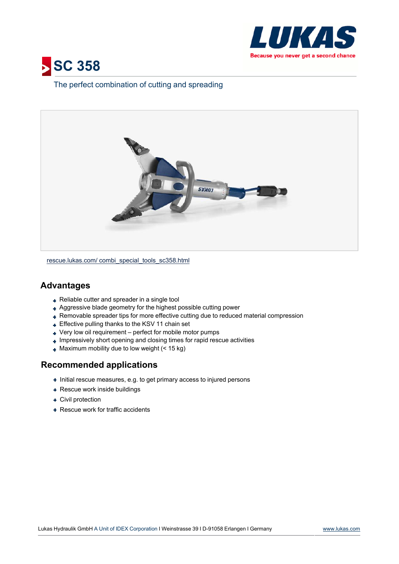



## The perfect combination of cutting and spreading



[rescue.lukas.com/](http://rescue.lukas.com/combi_special_tools_sc358.html) [combi\\_special\\_tools\\_sc358.html](http://rescue.lukas.com/combi_special_tools_sc358.html)

## **Advantages**

- + Reliable cutter and spreader in a single tool
- Aggressive blade geometry for the highest possible cutting power
- Removable spreader tips for more effective cutting due to reduced material compression
- + Effective pulling thanks to the KSV 11 chain set
- Very low oil requirement perfect for mobile motor pumps
- $\overline{\phantom{a}}$  Impressively short opening and closing times for rapid rescue activities
- $\bullet$  Maximum mobility due to low weight (< 15 kg)

## **Recommended applications**

- $\bullet$  Initial rescue measures, e.g. to get primary access to injured persons
- + Rescue work inside buildings
- Civil protection
- + Rescue work for traffic accidents